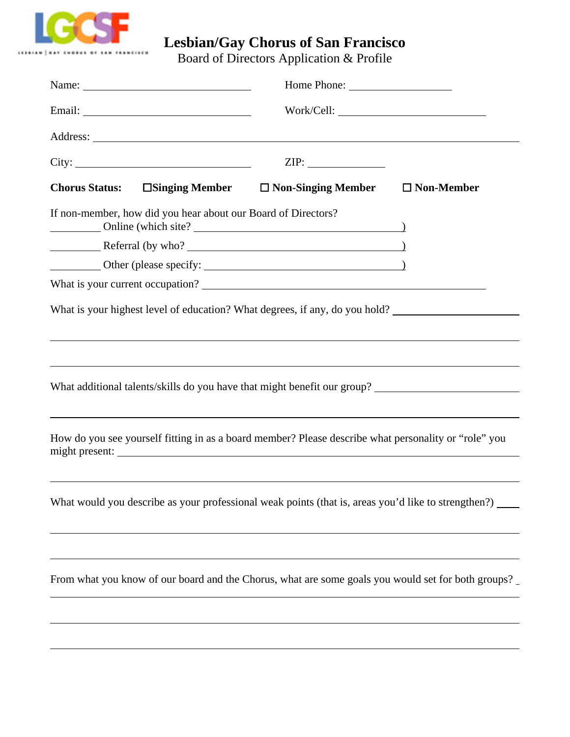

## **Lesbian/Gay Chorus of San Francisco**

Board of Directors Application & Profile

| Name: $\frac{1}{\sqrt{1-\frac{1}{2}}\sqrt{1-\frac{1}{2}}\sqrt{1-\frac{1}{2}}\sqrt{1-\frac{1}{2}}\sqrt{1-\frac{1}{2}}\sqrt{1-\frac{1}{2}}\sqrt{1-\frac{1}{2}}\sqrt{1-\frac{1}{2}}\sqrt{1-\frac{1}{2}}\sqrt{1-\frac{1}{2}}\sqrt{1-\frac{1}{2}}\sqrt{1-\frac{1}{2}}\sqrt{1-\frac{1}{2}}\sqrt{1-\frac{1}{2}}\sqrt{1-\frac{1}{2}}\sqrt{1-\frac{1}{2}}\sqrt{1-\frac{1}{2}}\sqrt{1-\frac{1}{2}}\sqrt{1-\frac{1}{2}}$<br>Email: <u>Alexander School (2002)</u> |       |                                                                                                                                                                                          |                   |
|--------------------------------------------------------------------------------------------------------------------------------------------------------------------------------------------------------------------------------------------------------------------------------------------------------------------------------------------------------------------------------------------------------------------------------------------------------|-------|------------------------------------------------------------------------------------------------------------------------------------------------------------------------------------------|-------------------|
|                                                                                                                                                                                                                                                                                                                                                                                                                                                        |       |                                                                                                                                                                                          |                   |
|                                                                                                                                                                                                                                                                                                                                                                                                                                                        | City: | ZIP:                                                                                                                                                                                     |                   |
| <b>Chorus Status:</b>                                                                                                                                                                                                                                                                                                                                                                                                                                  |       | $\square$ Singing Member $\square$ Non-Singing Member                                                                                                                                    | $\Box$ Non-Member |
| If non-member, how did you hear about our Board of Directors?                                                                                                                                                                                                                                                                                                                                                                                          |       |                                                                                                                                                                                          |                   |
|                                                                                                                                                                                                                                                                                                                                                                                                                                                        |       |                                                                                                                                                                                          |                   |
| Other (please specify: 2000)                                                                                                                                                                                                                                                                                                                                                                                                                           |       |                                                                                                                                                                                          |                   |
|                                                                                                                                                                                                                                                                                                                                                                                                                                                        |       |                                                                                                                                                                                          |                   |
|                                                                                                                                                                                                                                                                                                                                                                                                                                                        |       | ,我们也不会有什么。""我们的人,我们也不会有什么?""我们的人,我们也不会有什么?""我们的人,我们也不会有什么?""我们的人,我们也不会有什么?""我们的人<br>What additional talents/skills do you have that might benefit our group? ___________________________ |                   |
|                                                                                                                                                                                                                                                                                                                                                                                                                                                        |       | How do you see yourself fitting in as a board member? Please describe what personality or "role" you                                                                                     |                   |
|                                                                                                                                                                                                                                                                                                                                                                                                                                                        |       | What would you describe as your professional weak points (that is, areas you'd like to strengthen?) _____                                                                                |                   |
|                                                                                                                                                                                                                                                                                                                                                                                                                                                        |       | From what you know of our board and the Chorus, what are some goals you would set for both groups?                                                                                       |                   |
|                                                                                                                                                                                                                                                                                                                                                                                                                                                        |       |                                                                                                                                                                                          |                   |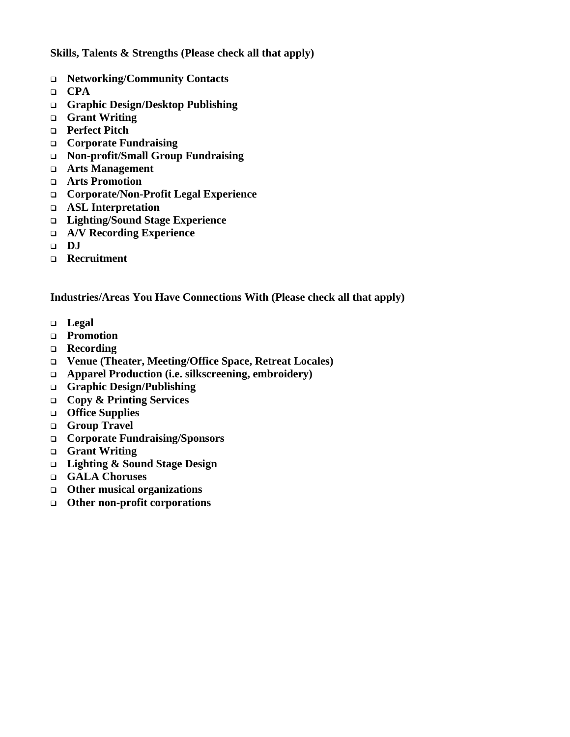**Skills, Talents & Strengths (Please check all that apply)** 

- **Networking/Community Contacts**
- **CPA**
- **Graphic Design/Desktop Publishing**
- **Grant Writing**
- **Perfect Pitch**
- **Corporate Fundraising**
- **Non-profit/Small Group Fundraising**
- **Arts Management**
- **Arts Promotion**
- **Corporate/Non-Profit Legal Experience**
- **ASL Interpretation**
- **Lighting/Sound Stage Experience**
- **A/V Recording Experience**
- **DJ**
- **Recruitment**

## **Industries/Areas You Have Connections With (Please check all that apply)**

- **Legal**
- **Promotion**
- **Recording**
- **Venue (Theater, Meeting/Office Space, Retreat Locales)**
- **Apparel Production (i.e. silkscreening, embroidery)**
- **Graphic Design/Publishing**
- **Copy & Printing Services**
- **Office Supplies**
- **Group Travel**
- **Corporate Fundraising/Sponsors**
- **Grant Writing**
- **Lighting & Sound Stage Design**
- **GALA Choruses**
- **Other musical organizations**
- **Other non-profit corporations**